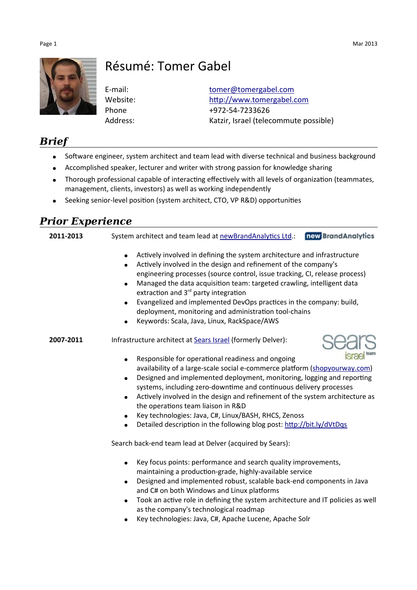

# Résumé: Tomer Gabel

E-mail: [tomer@tomergabel.com](mailto:tomer@tomergabel.com) Website: [http://www.tomergabel.com](http://www.tomergabel.com/) Phone +972-54-7233626 Address: Katzir, Israel (telecommute possible)

#### *Brief*

- Software engineer, system architect and team lead with diverse technical and business background
- Accomplished speaker, lecturer and writer with strong passion for knowledge sharing
- Thorough professional capable of interacting effectively with all levels of organization (teammates, management, clients, investors) as well as working independently
- Seeking senior-level position (system architect, CTO, VP R&D) opportunities

### *Prior Experience*

**2011-2013** System architect and team lead at [newBrandAnalytics Ltd.](http://www.newbrandanalytics.com/): **new BrandAnalytics** 

- Actively involved in defining the system architecture and infrastructure
- Actively involved in the design and refinement of the company's engineering processes (source control, issue tracking, CI, release process)
- Managed the data acquisition team: targeted crawling, intelligent data extraction and  $3<sup>rd</sup>$  party integration
- Evangelized and implemented DevOps practices in the company: build, deployment, monitoring and administration tool-chains
- Keywords: Scala, Java, Linux, RackSpace/AWS

#### **2007-2011** Infrastructure architect at **Sears Israel** (formerly Delver):



- Responsible for operational readiness and ongoing availability of a large-scale social e-commerce platform [\(shopyourway.com\)](http://www.shopyourway.com/)
- Designed and implemented deployment, monitoring, logging and reporting systems, including zero-downtime and continuous delivery processes
- Actively involved in the design and refinement of the system architecture as the operations team liaison in R&D
- Key technologies: Java, C#, Linux/BASH, RHCS, Zenoss
- Detailed description in the following blog post:<http://bit.ly/dVtDqs>

Search back-end team lead at Delver (acquired by Sears):

- Key focus points: performance and search quality improvements, maintaining a production-grade, highly-available service
- Designed and implemented robust, scalable back-end components in Java and C# on both Windows and Linux platforms
- Took an active role in defining the system architecture and IT policies as well as the company's technological roadmap
- Key technologies: Java, C#, Apache Lucene, Apache Solr